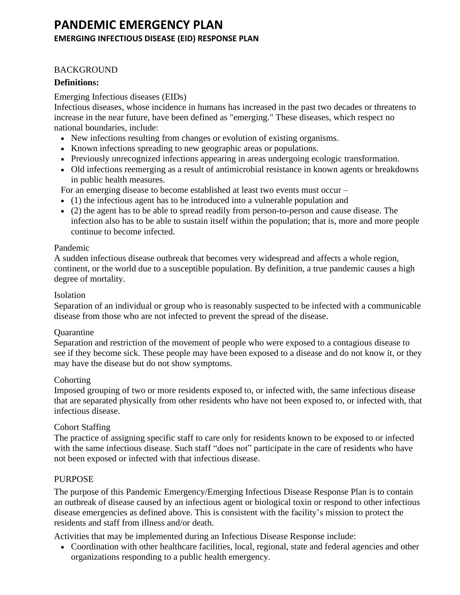# **PANDEMIC EMERGENCY PLAN EMERGING INFECTIOUS DISEASE (EID) RESPONSE PLAN**

### **BACKGROUND**

### **Definitions:**

### Emerging Infectious diseases (EIDs)

Infectious diseases, whose incidence in humans has increased in the past two decades or threatens to increase in the near future, have been defined as "emerging." These diseases, which respect no national boundaries, include:

- New infections resulting from changes or evolution of existing organisms.
- Known infections spreading to new geographic areas or populations.
- Previously unrecognized infections appearing in areas undergoing ecologic transformation.
- Old infections reemerging as a result of antimicrobial resistance in known agents or breakdowns in public health measures.

For an emerging disease to become established at least two events must occur –

- (1) the infectious agent has to be introduced into a vulnerable population and
- (2) the agent has to be able to spread readily from person-to-person and cause disease. The infection also has to be able to sustain itself within the population; that is, more and more people continue to become infected.

### Pandemic

A sudden infectious disease outbreak that becomes very widespread and affects a whole region, continent, or the world due to a susceptible population. By definition, a true pandemic causes a high degree of mortality.

### Isolation

Separation of an individual or group who is reasonably suspected to be infected with a communicable disease from those who are not infected to prevent the spread of the disease.

### **Ouarantine**

Separation and restriction of the movement of people who were exposed to a contagious disease to see if they become sick. These people may have been exposed to a disease and do not know it, or they may have the disease but do not show symptoms.

### **Cohorting**

Imposed grouping of two or more residents exposed to, or infected with, the same infectious disease that are separated physically from other residents who have not been exposed to, or infected with, that infectious disease.

## Cohort Staffing

The practice of assigning specific staff to care only for residents known to be exposed to or infected with the same infectious disease. Such staff "does not" participate in the care of residents who have not been exposed or infected with that infectious disease.

## PURPOSE

The purpose of this Pandemic Emergency/Emerging Infectious Disease Response Plan is to contain an outbreak of disease caused by an infectious agent or biological toxin or respond to other infectious disease emergencies as defined above. This is consistent with the facility's mission to protect the residents and staff from illness and/or death.

Activities that may be implemented during an Infectious Disease Response include:

• Coordination with other healthcare facilities, local, regional, state and federal agencies and other organizations responding to a public health emergency.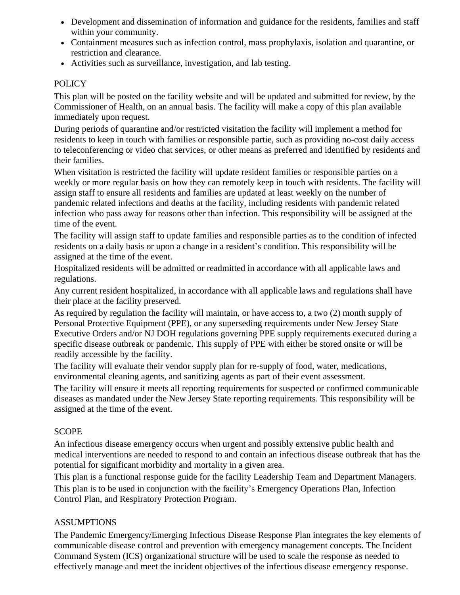- Development and dissemination of information and guidance for the residents, families and staff within your community.
- Containment measures such as infection control, mass prophylaxis, isolation and quarantine, or restriction and clearance.
- Activities such as surveillance, investigation, and lab testing.

## **POLICY**

This plan will be posted on the facility website and will be updated and submitted for review, by the Commissioner of Health, on an annual basis. The facility will make a copy of this plan available immediately upon request.

During periods of quarantine and/or restricted visitation the facility will implement a method for residents to keep in touch with families or responsible partie, such as providing no-cost daily access to teleconferencing or video chat services, or other means as preferred and identified by residents and their families.

When visitation is restricted the facility will update resident families or responsible parties on a weekly or more regular basis on how they can remotely keep in touch with residents. The facility will assign staff to ensure all residents and families are updated at least weekly on the number of pandemic related infections and deaths at the facility, including residents with pandemic related infection who pass away for reasons other than infection. This responsibility will be assigned at the time of the event.

The facility will assign staff to update families and responsible parties as to the condition of infected residents on a daily basis or upon a change in a resident's condition. This responsibility will be assigned at the time of the event.

Hospitalized residents will be admitted or readmitted in accordance with all applicable laws and regulations.

Any current resident hospitalized, in accordance with all applicable laws and regulations shall have their place at the facility preserved.

As required by regulation the facility will maintain, or have access to, a two (2) month supply of Personal Protective Equipment (PPE), or any superseding requirements under New Jersey State Executive Orders and/or NJ DOH regulations governing PPE supply requirements executed during a specific disease outbreak or pandemic. This supply of PPE with either be stored onsite or will be readily accessible by the facility.

The facility will evaluate their vendor supply plan for re-supply of food, water, medications, environmental cleaning agents, and sanitizing agents as part of their event assessment.

The facility will ensure it meets all reporting requirements for suspected or confirmed communicable diseases as mandated under the New Jersey State reporting requirements. This responsibility will be assigned at the time of the event.

# **SCOPE**

An infectious disease emergency occurs when urgent and possibly extensive public health and medical interventions are needed to respond to and contain an infectious disease outbreak that has the potential for significant morbidity and mortality in a given area.

This plan is a functional response guide for the facility Leadership Team and Department Managers. This plan is to be used in conjunction with the facility's Emergency Operations Plan, Infection Control Plan, and Respiratory Protection Program.

## ASSUMPTIONS

The Pandemic Emergency/Emerging Infectious Disease Response Plan integrates the key elements of communicable disease control and prevention with emergency management concepts. The Incident Command System (ICS) organizational structure will be used to scale the response as needed to effectively manage and meet the incident objectives of the infectious disease emergency response.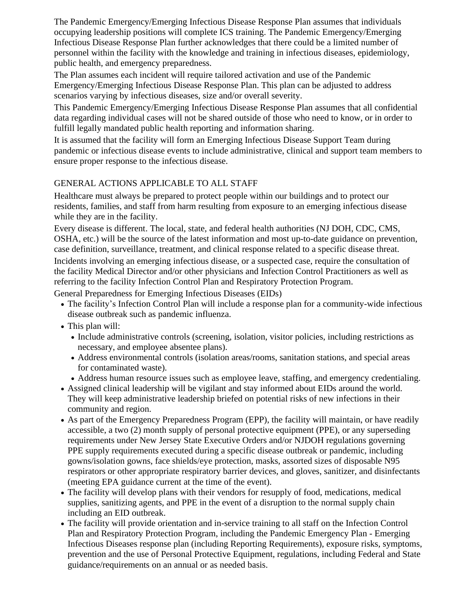The Pandemic Emergency/Emerging Infectious Disease Response Plan assumes that individuals occupying leadership positions will complete ICS training. The Pandemic Emergency/Emerging Infectious Disease Response Plan further acknowledges that there could be a limited number of personnel within the facility with the knowledge and training in infectious diseases, epidemiology, public health, and emergency preparedness.

The Plan assumes each incident will require tailored activation and use of the Pandemic Emergency/Emerging Infectious Disease Response Plan. This plan can be adjusted to address scenarios varying by infectious diseases, size and/or overall severity.

This Pandemic Emergency/Emerging Infectious Disease Response Plan assumes that all confidential data regarding individual cases will not be shared outside of those who need to know, or in order to fulfill legally mandated public health reporting and information sharing.

It is assumed that the facility will form an Emerging Infectious Disease Support Team during pandemic or infectious disease events to include administrative, clinical and support team members to ensure proper response to the infectious disease.

# GENERAL ACTIONS APPLICABLE TO ALL STAFF

Healthcare must always be prepared to protect people within our buildings and to protect our residents, families, and staff from harm resulting from exposure to an emerging infectious disease while they are in the facility.

Every disease is different. The local, state, and federal health authorities (NJ DOH, CDC, CMS, OSHA, etc.) will be the source of the latest information and most up-to-date guidance on prevention, case definition, surveillance, treatment, and clinical response related to a specific disease threat.

Incidents involving an emerging infectious disease, or a suspected case, require the consultation of the facility Medical Director and/or other physicians and Infection Control Practitioners as well as referring to the facility Infection Control Plan and Respiratory Protection Program.

General Preparedness for Emerging Infectious Diseases (EIDs)

- The facility's Infection Control Plan will include a response plan for a community-wide infectious disease outbreak such as pandemic influenza.
- This plan will:
	- Include administrative controls (screening, isolation, visitor policies, including restrictions as necessary, and employee absentee plans).
	- Address environmental controls (isolation areas/rooms, sanitation stations, and special areas for contaminated waste).
	- Address human resource issues such as employee leave, staffing, and emergency credentialing.
- Assigned clinical leadership will be vigilant and stay informed about EIDs around the world. They will keep administrative leadership briefed on potential risks of new infections in their community and region.
- As part of the Emergency Preparedness Program (EPP), the facility will maintain, or have readily accessible, a two (2) month supply of personal protective equipment (PPE), or any superseding requirements under New Jersey State Executive Orders and/or NJDOH regulations governing PPE supply requirements executed during a specific disease outbreak or pandemic, including gowns/isolation gowns, face shields/eye protection, masks, assorted sizes of disposable N95 respirators or other appropriate respiratory barrier devices, and gloves, sanitizer, and disinfectants (meeting EPA guidance current at the time of the event).
- The facility will develop plans with their vendors for resupply of food, medications, medical supplies, sanitizing agents, and PPE in the event of a disruption to the normal supply chain including an EID outbreak.
- The facility will provide orientation and in-service training to all staff on the Infection Control Plan and Respiratory Protection Program, including the Pandemic Emergency Plan - Emerging Infectious Diseases response plan (including Reporting Requirements), exposure risks, symptoms, prevention and the use of Personal Protective Equipment, regulations, including Federal and State guidance/requirements on an annual or as needed basis.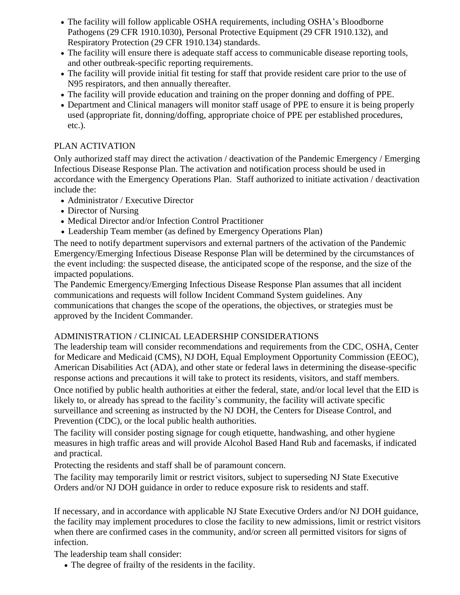- The facility will follow applicable OSHA requirements, including OSHA's Bloodborne Pathogens (29 CFR 1910.1030), Personal Protective Equipment (29 CFR 1910.132), and Respiratory Protection (29 CFR 1910.134) standards.
- The facility will ensure there is adequate staff access to communicable disease reporting tools, and other outbreak-specific reporting requirements.
- The facility will provide initial fit testing for staff that provide resident care prior to the use of N95 respirators, and then annually thereafter.
- The facility will provide education and training on the proper donning and doffing of PPE.
- Department and Clinical managers will monitor staff usage of PPE to ensure it is being properly used (appropriate fit, donning/doffing, appropriate choice of PPE per established procedures, etc.).

## PLAN ACTIVATION

Only authorized staff may direct the activation / deactivation of the Pandemic Emergency / Emerging Infectious Disease Response Plan. The activation and notification process should be used in accordance with the Emergency Operations Plan. Staff authorized to initiate activation / deactivation include the:

- Administrator / Executive Director
- Director of Nursing
- Medical Director and/or Infection Control Practitioner
- Leadership Team member (as defined by Emergency Operations Plan)

The need to notify department supervisors and external partners of the activation of the Pandemic Emergency/Emerging Infectious Disease Response Plan will be determined by the circumstances of the event including: the suspected disease, the anticipated scope of the response, and the size of the impacted populations.

The Pandemic Emergency/Emerging Infectious Disease Response Plan assumes that all incident communications and requests will follow Incident Command System guidelines. Any communications that changes the scope of the operations, the objectives, or strategies must be approved by the Incident Commander.

# ADMINISTRATION / CLINICAL LEADERSHIP CONSIDERATIONS

The leadership team will consider recommendations and requirements from the CDC, OSHA, Center for Medicare and Medicaid (CMS), NJ DOH, Equal Employment Opportunity Commission (EEOC), American Disabilities Act (ADA), and other state or federal laws in determining the disease-specific response actions and precautions it will take to protect its residents, visitors, and staff members. Once notified by public health authorities at either the federal, state, and/or local level that the EID is likely to, or already has spread to the facility's community, the facility will activate specific surveillance and screening as instructed by the NJ DOH, the Centers for Disease Control, and Prevention (CDC), or the local public health authorities.

The facility will consider posting signage for cough etiquette, handwashing, and other hygiene measures in high traffic areas and will provide Alcohol Based Hand Rub and facemasks, if indicated and practical.

Protecting the residents and staff shall be of paramount concern.

The facility may temporarily limit or restrict visitors, subject to superseding NJ State Executive Orders and/or NJ DOH guidance in order to reduce exposure risk to residents and staff.

If necessary, and in accordance with applicable NJ State Executive Orders and/or NJ DOH guidance, the facility may implement procedures to close the facility to new admissions, limit or restrict visitors when there are confirmed cases in the community, and/or screen all permitted visitors for signs of infection.

The leadership team shall consider:

• The degree of frailty of the residents in the facility.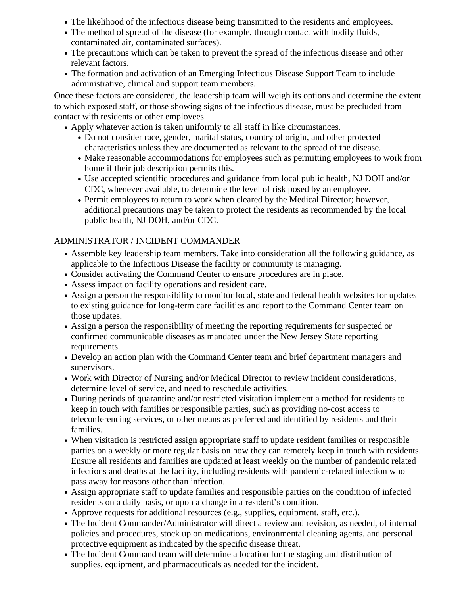- The likelihood of the infectious disease being transmitted to the residents and employees.
- The method of spread of the disease (for example, through contact with bodily fluids, contaminated air, contaminated surfaces).
- The precautions which can be taken to prevent the spread of the infectious disease and other relevant factors.
- The formation and activation of an Emerging Infectious Disease Support Team to include administrative, clinical and support team members.

Once these factors are considered, the leadership team will weigh its options and determine the extent to which exposed staff, or those showing signs of the infectious disease, must be precluded from contact with residents or other employees.

- Apply whatever action is taken uniformly to all staff in like circumstances.
	- Do not consider race, gender, marital status, country of origin, and other protected characteristics unless they are documented as relevant to the spread of the disease.
	- Make reasonable accommodations for employees such as permitting employees to work from home if their job description permits this.
	- Use accepted scientific procedures and guidance from local public health, NJ DOH and/or CDC, whenever available, to determine the level of risk posed by an employee.
	- Permit employees to return to work when cleared by the Medical Director; however, additional precautions may be taken to protect the residents as recommended by the local public health, NJ DOH, and/or CDC.

# ADMINISTRATOR / INCIDENT COMMANDER

- Assemble key leadership team members. Take into consideration all the following guidance, as applicable to the Infectious Disease the facility or community is managing.
- Consider activating the Command Center to ensure procedures are in place.
- Assess impact on facility operations and resident care.
- Assign a person the responsibility to monitor local, state and federal health websites for updates to existing guidance for long-term care facilities and report to the Command Center team on those updates.
- Assign a person the responsibility of meeting the reporting requirements for suspected or confirmed communicable diseases as mandated under the New Jersey State reporting requirements.
- Develop an action plan with the Command Center team and brief department managers and supervisors.
- Work with Director of Nursing and/or Medical Director to review incident considerations, determine level of service, and need to reschedule activities.
- During periods of quarantine and/or restricted visitation implement a method for residents to keep in touch with families or responsible parties, such as providing no-cost access to teleconferencing services, or other means as preferred and identified by residents and their families.
- When visitation is restricted assign appropriate staff to update resident families or responsible parties on a weekly or more regular basis on how they can remotely keep in touch with residents. Ensure all residents and families are updated at least weekly on the number of pandemic related infections and deaths at the facility, including residents with pandemic-related infection who pass away for reasons other than infection.
- Assign appropriate staff to update families and responsible parties on the condition of infected residents on a daily basis, or upon a change in a resident's condition.
- Approve requests for additional resources (e.g., supplies, equipment, staff, etc.).
- The Incident Commander/Administrator will direct a review and revision, as needed, of internal policies and procedures, stock up on medications, environmental cleaning agents, and personal protective equipment as indicated by the specific disease threat.
- The Incident Command team will determine a location for the staging and distribution of supplies, equipment, and pharmaceuticals as needed for the incident.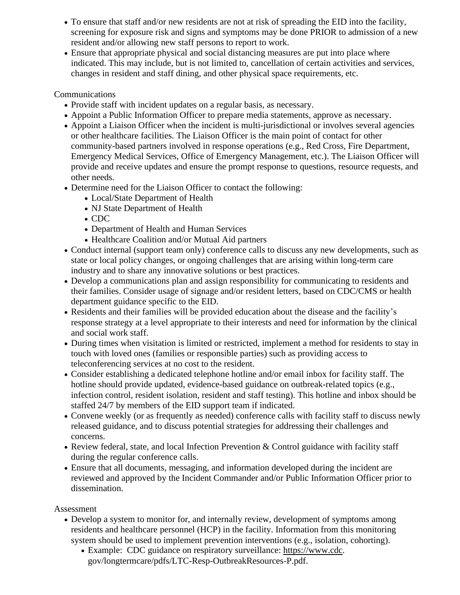- To ensure that staff and/or new residents are not at risk of spreading the EID into the facility, screening for exposure risk and signs and symptoms may be done PRIOR to admission of a new resident and/or allowing new staff persons to report to work.
- Ensure that appropriate physical and social distancing measures are put into place where indicated. This may include, but is not limited to, cancellation of certain activities and services, changes in resident and staff dining, and other physical space requirements, etc.

## Communications

- Provide staff with incident updates on a regular basis, as necessary.
- Appoint a Public Information Officer to prepare media statements, approve as necessary.
- Appoint a Liaison Officer when the incident is multi-jurisdictional or involves several agencies or other healthcare facilities. The Liaison Officer is the main point of contact for other community-based partners involved in response operations (e.g., Red Cross, Fire Department, Emergency Medical Services, Office of Emergency Management, etc.). The Liaison Officer will provide and receive updates and ensure the prompt response to questions, resource requests, and other needs.
- Determine need for the Liaison Officer to contact the following:
	- Local/State Department of Health
	- NJ State Department of Health
	- CDC
	- Department of Health and Human Services
	- Healthcare Coalition and/or Mutual Aid partners
- Conduct internal (support team only) conference calls to discuss any new developments, such as state or local policy changes, or ongoing challenges that are arising within long-term care industry and to share any innovative solutions or best practices.
- Develop a communications plan and assign responsibility for communicating to residents and their families. Consider usage of signage and/or resident letters, based on CDC/CMS or health department guidance specific to the EID.
- Residents and their families will be provided education about the disease and the facility's response strategy at a level appropriate to their interests and need for information by the clinical and social work staff.
- During times when visitation is limited or restricted, implement a method for residents to stay in touch with loved ones (families or responsible parties) such as providing access to teleconferencing services at no cost to the resident.
- Consider establishing a dedicated telephone hotline and/or email inbox for facility staff. The hotline should provide updated, evidence-based guidance on outbreak-related topics (e.g., infection control, resident isolation, resident and staff testing). This hotline and inbox should be staffed 24/7 by members of the EID support team if indicated.
- Convene weekly (or as frequently as needed) conference calls with facility staff to discuss newly released guidance, and to discuss potential strategies for addressing their challenges and concerns.
- Review federal, state, and local Infection Prevention & Control guidance with facility staff during the regular conference calls.
- Ensure that all documents, messaging, and information developed during the incident are reviewed and approved by the Incident Commander and/or Public Information Officer prior to dissemination.

## Assessment

- Develop a system to monitor for, and internally review, development of symptoms among residents and healthcare personnel (HCP) in the facility. Information from this monitoring system should be used to implement prevention interventions (e.g., isolation, cohorting).
	- Example: CDC guidance on respiratory surveillance: [https://www.cdc.](https://www.cdc/) gov/longtermcare/pdfs/LTC-Resp-OutbreakResources-P.pdf.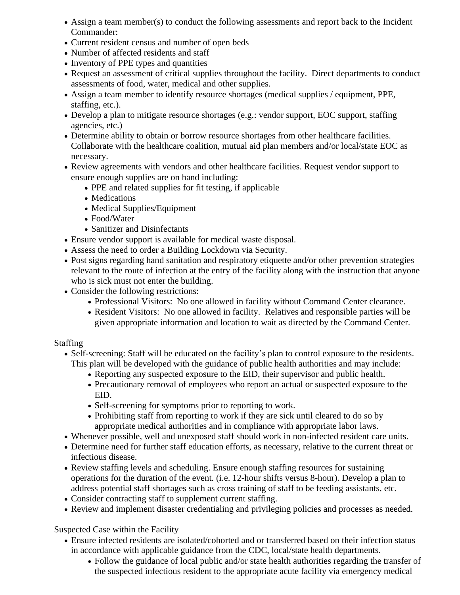- Assign a team member(s) to conduct the following assessments and report back to the Incident Commander:
- Current resident census and number of open beds
- Number of affected residents and staff
- Inventory of PPE types and quantities
- Request an assessment of critical supplies throughout the facility. Direct departments to conduct assessments of food, water, medical and other supplies.
- Assign a team member to identify resource shortages (medical supplies / equipment, PPE, staffing, etc.).
- Develop a plan to mitigate resource shortages (e.g.: vendor support, EOC support, staffing agencies, etc.)
- Determine ability to obtain or borrow resource shortages from other healthcare facilities. Collaborate with the healthcare coalition, mutual aid plan members and/or local/state EOC as necessary.
- Review agreements with vendors and other healthcare facilities. Request vendor support to ensure enough supplies are on hand including:
	- PPE and related supplies for fit testing, if applicable
	- Medications
	- Medical Supplies/Equipment
	- Food/Water
	- Sanitizer and Disinfectants
- Ensure vendor support is available for medical waste disposal.
- Assess the need to order a Building Lockdown via Security.
- Post signs regarding hand sanitation and respiratory etiquette and/or other prevention strategies relevant to the route of infection at the entry of the facility along with the instruction that anyone who is sick must not enter the building.
- Consider the following restrictions:
	- Professional Visitors: No one allowed in facility without Command Center clearance.
	- Resident Visitors: No one allowed in facility. Relatives and responsible parties will be given appropriate information and location to wait as directed by the Command Center.

# Staffing

- Self-screening: Staff will be educated on the facility's plan to control exposure to the residents. This plan will be developed with the guidance of public health authorities and may include:
	- Reporting any suspected exposure to the EID, their supervisor and public health.
	- Precautionary removal of employees who report an actual or suspected exposure to the EID.
	- Self-screening for symptoms prior to reporting to work.
	- Prohibiting staff from reporting to work if they are sick until cleared to do so by appropriate medical authorities and in compliance with appropriate labor laws.
- Whenever possible, well and unexposed staff should work in non-infected resident care units.
- Determine need for further staff education efforts, as necessary, relative to the current threat or infectious disease.
- Review staffing levels and scheduling. Ensure enough staffing resources for sustaining operations for the duration of the event. (i.e. 12-hour shifts versus 8-hour). Develop a plan to address potential staff shortages such as cross training of staff to be feeding assistants, etc.
- Consider contracting staff to supplement current staffing.
- Review and implement disaster credentialing and privileging policies and processes as needed.

Suspected Case within the Facility

- Ensure infected residents are isolated/cohorted and or transferred based on their infection status in accordance with applicable guidance from the CDC, local/state health departments.
	- Follow the guidance of local public and/or state health authorities regarding the transfer of the suspected infectious resident to the appropriate acute facility via emergency medical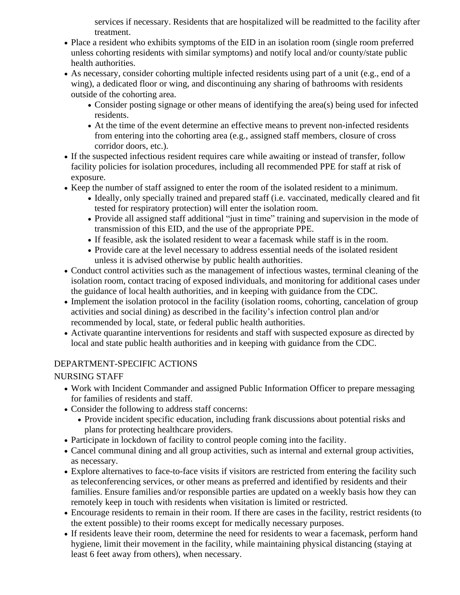services if necessary. Residents that are hospitalized will be readmitted to the facility after treatment.

- Place a resident who exhibits symptoms of the EID in an isolation room (single room preferred unless cohorting residents with similar symptoms) and notify local and/or county/state public health authorities.
- As necessary, consider cohorting multiple infected residents using part of a unit (e.g., end of a wing), a dedicated floor or wing, and discontinuing any sharing of bathrooms with residents outside of the cohorting area.
	- Consider posting signage or other means of identifying the area(s) being used for infected residents.
	- At the time of the event determine an effective means to prevent non-infected residents from entering into the cohorting area (e.g., assigned staff members, closure of cross corridor doors, etc.).
- If the suspected infectious resident requires care while awaiting or instead of transfer, follow facility policies for isolation procedures, including all recommended PPE for staff at risk of exposure.
- Keep the number of staff assigned to enter the room of the isolated resident to a minimum.
	- Ideally, only specially trained and prepared staff (i.e. vaccinated, medically cleared and fit tested for respiratory protection) will enter the isolation room.
	- Provide all assigned staff additional "just in time" training and supervision in the mode of transmission of this EID, and the use of the appropriate PPE.
	- If feasible, ask the isolated resident to wear a facemask while staff is in the room.
	- Provide care at the level necessary to address essential needs of the isolated resident unless it is advised otherwise by public health authorities.
- Conduct control activities such as the management of infectious wastes, terminal cleaning of the isolation room, contact tracing of exposed individuals, and monitoring for additional cases under the guidance of local health authorities, and in keeping with guidance from the CDC.
- Implement the isolation protocol in the facility (isolation rooms, cohorting, cancelation of group activities and social dining) as described in the facility's infection control plan and/or recommended by local, state, or federal public health authorities.
- Activate quarantine interventions for residents and staff with suspected exposure as directed by local and state public health authorities and in keeping with guidance from the CDC.

# DEPARTMENT-SPECIFIC ACTIONS

NURSING STAFF

- Work with Incident Commander and assigned Public Information Officer to prepare messaging for families of residents and staff.
- Consider the following to address staff concerns:
	- Provide incident specific education, including frank discussions about potential risks and plans for protecting healthcare providers.
- Participate in lockdown of facility to control people coming into the facility.
- Cancel communal dining and all group activities, such as internal and external group activities, as necessary.
- Explore alternatives to face-to-face visits if visitors are restricted from entering the facility such as teleconferencing services, or other means as preferred and identified by residents and their families. Ensure families and/or responsible parties are updated on a weekly basis how they can remotely keep in touch with residents when visitation is limited or restricted.
- Encourage residents to remain in their room. If there are cases in the facility, restrict residents (to the extent possible) to their rooms except for medically necessary purposes.
- If residents leave their room, determine the need for residents to wear a facemask, perform hand hygiene, limit their movement in the facility, while maintaining physical distancing (staying at least 6 feet away from others), when necessary.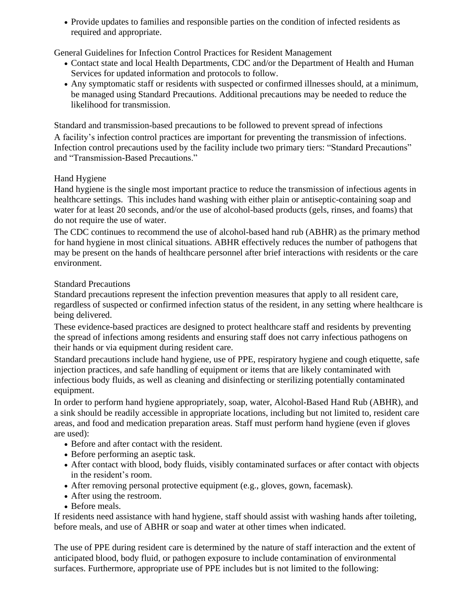• Provide updates to families and responsible parties on the condition of infected residents as required and appropriate.

General Guidelines for Infection Control Practices for Resident Management

- Contact state and local Health Departments, CDC and/or the Department of Health and Human Services for updated information and protocols to follow.
- Any symptomatic staff or residents with suspected or confirmed illnesses should, at a minimum, be managed using Standard Precautions. Additional precautions may be needed to reduce the likelihood for transmission.

Standard and transmission-based precautions to be followed to prevent spread of infections A facility's infection control practices are important for preventing the transmission of infections. Infection control precautions used by the facility include two primary tiers: "Standard Precautions" and "Transmission-Based Precautions."

# Hand Hygiene

Hand hygiene is the single most important practice to reduce the transmission of infectious agents in healthcare settings. This includes hand washing with either plain or antiseptic-containing soap and water for at least 20 seconds, and/or the use of alcohol-based products (gels, rinses, and foams) that do not require the use of water.

The CDC continues to recommend the use of alcohol-based hand rub (ABHR) as the primary method for hand hygiene in most clinical situations. ABHR effectively reduces the number of pathogens that may be present on the hands of healthcare personnel after brief interactions with residents or the care environment.

## Standard Precautions

Standard precautions represent the infection prevention measures that apply to all resident care, regardless of suspected or confirmed infection status of the resident, in any setting where healthcare is being delivered.

These evidence-based practices are designed to protect healthcare staff and residents by preventing the spread of infections among residents and ensuring staff does not carry infectious pathogens on their hands or via equipment during resident care.

Standard precautions include hand hygiene, use of PPE, respiratory hygiene and cough etiquette, safe injection practices, and safe handling of equipment or items that are likely contaminated with infectious body fluids, as well as cleaning and disinfecting or sterilizing potentially contaminated equipment.

In order to perform hand hygiene appropriately, soap, water, Alcohol-Based Hand Rub (ABHR), and a sink should be readily accessible in appropriate locations, including but not limited to, resident care areas, and food and medication preparation areas. Staff must perform hand hygiene (even if gloves are used):

- Before and after contact with the resident.
- Before performing an aseptic task.
- After contact with blood, body fluids, visibly contaminated surfaces or after contact with objects in the resident's room.
- After removing personal protective equipment (e.g., gloves, gown, facemask).
- After using the restroom.
- Before meals.

If residents need assistance with hand hygiene, staff should assist with washing hands after toileting, before meals, and use of ABHR or soap and water at other times when indicated.

The use of PPE during resident care is determined by the nature of staff interaction and the extent of anticipated blood, body fluid, or pathogen exposure to include contamination of environmental surfaces. Furthermore, appropriate use of PPE includes but is not limited to the following: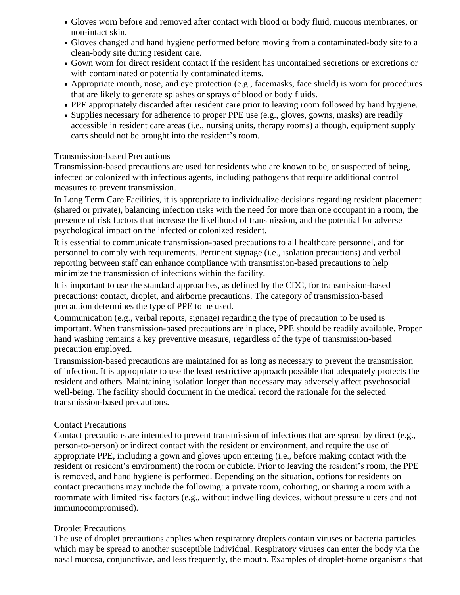- Gloves worn before and removed after contact with blood or body fluid, mucous membranes, or non-intact skin.
- Gloves changed and hand hygiene performed before moving from a contaminated-body site to a clean-body site during resident care.
- Gown worn for direct resident contact if the resident has uncontained secretions or excretions or with contaminated or potentially contaminated items.
- Appropriate mouth, nose, and eye protection (e.g., facemasks, face shield) is worn for procedures that are likely to generate splashes or sprays of blood or body fluids.
- PPE appropriately discarded after resident care prior to leaving room followed by hand hygiene.
- Supplies necessary for adherence to proper PPE use (e.g., gloves, gowns, masks) are readily accessible in resident care areas (i.e., nursing units, therapy rooms) although, equipment supply carts should not be brought into the resident's room.

### Transmission-based Precautions

Transmission-based precautions are used for residents who are known to be, or suspected of being, infected or colonized with infectious agents, including pathogens that require additional control measures to prevent transmission.

In Long Term Care Facilities, it is appropriate to individualize decisions regarding resident placement (shared or private), balancing infection risks with the need for more than one occupant in a room, the presence of risk factors that increase the likelihood of transmission, and the potential for adverse psychological impact on the infected or colonized resident.

It is essential to communicate transmission-based precautions to all healthcare personnel, and for personnel to comply with requirements. Pertinent signage (i.e., isolation precautions) and verbal reporting between staff can enhance compliance with transmission-based precautions to help minimize the transmission of infections within the facility.

It is important to use the standard approaches, as defined by the CDC, for transmission-based precautions: contact, droplet, and airborne precautions. The category of transmission-based precaution determines the type of PPE to be used.

Communication (e.g., verbal reports, signage) regarding the type of precaution to be used is important. When transmission-based precautions are in place, PPE should be readily available. Proper hand washing remains a key preventive measure, regardless of the type of transmission-based precaution employed.

Transmission-based precautions are maintained for as long as necessary to prevent the transmission of infection. It is appropriate to use the least restrictive approach possible that adequately protects the resident and others. Maintaining isolation longer than necessary may adversely affect psychosocial well-being. The facility should document in the medical record the rationale for the selected transmission-based precautions.

## Contact Precautions

Contact precautions are intended to prevent transmission of infections that are spread by direct (e.g., person-to-person) or indirect contact with the resident or environment, and require the use of appropriate PPE, including a gown and gloves upon entering (i.e., before making contact with the resident or resident's environment) the room or cubicle. Prior to leaving the resident's room, the PPE is removed, and hand hygiene is performed. Depending on the situation, options for residents on contact precautions may include the following: a private room, cohorting, or sharing a room with a roommate with limited risk factors (e.g., without indwelling devices, without pressure ulcers and not immunocompromised).

## Droplet Precautions

The use of droplet precautions applies when respiratory droplets contain viruses or bacteria particles which may be spread to another susceptible individual. Respiratory viruses can enter the body via the nasal mucosa, conjunctivae, and less frequently, the mouth. Examples of droplet-borne organisms that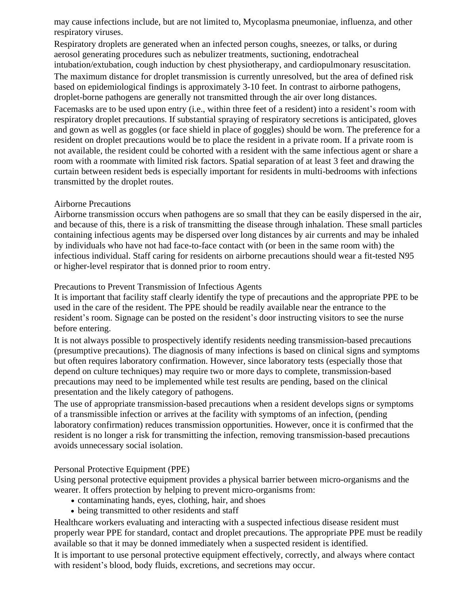may cause infections include, but are not limited to, Mycoplasma pneumoniae, influenza, and other respiratory viruses.

Respiratory droplets are generated when an infected person coughs, sneezes, or talks, or during aerosol generating procedures such as nebulizer treatments, suctioning, endotracheal intubation/extubation, cough induction by chest physiotherapy, and cardiopulmonary resuscitation. The maximum distance for droplet transmission is currently unresolved, but the area of defined risk based on epidemiological findings is approximately 3-10 feet. In contrast to airborne pathogens, droplet-borne pathogens are generally not transmitted through the air over long distances. Facemasks are to be used upon entry (i.e., within three feet of a resident) into a resident's room with respiratory droplet precautions. If substantial spraying of respiratory secretions is anticipated, gloves and gown as well as goggles (or face shield in place of goggles) should be worn. The preference for a resident on droplet precautions would be to place the resident in a private room. If a private room is not available, the resident could be cohorted with a resident with the same infectious agent or share a room with a roommate with limited risk factors. Spatial separation of at least 3 feet and drawing the curtain between resident beds is especially important for residents in multi-bedrooms with infections transmitted by the droplet routes.

### Airborne Precautions

Airborne transmission occurs when pathogens are so small that they can be easily dispersed in the air, and because of this, there is a risk of transmitting the disease through inhalation. These small particles containing infectious agents may be dispersed over long distances by air currents and may be inhaled by individuals who have not had face-to-face contact with (or been in the same room with) the infectious individual. Staff caring for residents on airborne precautions should wear a fit-tested N95 or higher-level respirator that is donned prior to room entry.

### Precautions to Prevent Transmission of Infectious Agents

It is important that facility staff clearly identify the type of precautions and the appropriate PPE to be used in the care of the resident. The PPE should be readily available near the entrance to the resident's room. Signage can be posted on the resident's door instructing visitors to see the nurse before entering.

It is not always possible to prospectively identify residents needing transmission-based precautions (presumptive precautions). The diagnosis of many infections is based on clinical signs and symptoms but often requires laboratory confirmation. However, since laboratory tests (especially those that depend on culture techniques) may require two or more days to complete, transmission-based precautions may need to be implemented while test results are pending, based on the clinical presentation and the likely category of pathogens.

The use of appropriate transmission-based precautions when a resident develops signs or symptoms of a transmissible infection or arrives at the facility with symptoms of an infection, (pending laboratory confirmation) reduces transmission opportunities. However, once it is confirmed that the resident is no longer a risk for transmitting the infection, removing transmission-based precautions avoids unnecessary social isolation.

### Personal Protective Equipment (PPE)

Using personal protective equipment provides a physical barrier between micro-organisms and the wearer. It offers protection by helping to prevent micro-organisms from:

- contaminating hands, eyes, clothing, hair, and shoes
- being transmitted to other residents and staff

Healthcare workers evaluating and interacting with a suspected infectious disease resident must properly wear PPE for standard, contact and droplet precautions. The appropriate PPE must be readily available so that it may be donned immediately when a suspected resident is identified.

It is important to use personal protective equipment effectively, correctly, and always where contact with resident's blood, body fluids, excretions, and secretions may occur.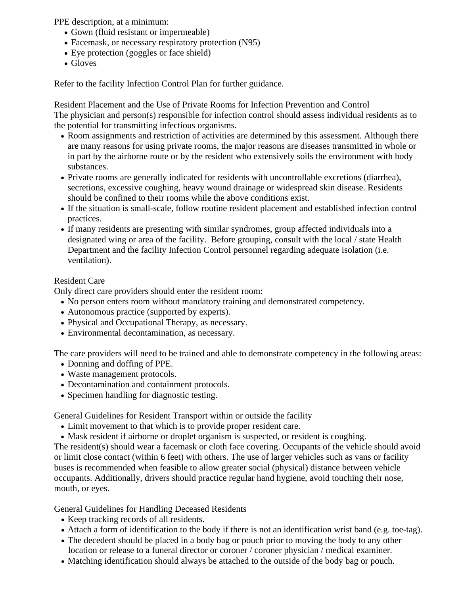PPE description, at a minimum:

- Gown (fluid resistant or impermeable)
- Facemask, or necessary respiratory protection (N95)
- Eye protection (goggles or face shield)
- Gloves

Refer to the facility Infection Control Plan for further guidance.

Resident Placement and the Use of Private Rooms for Infection Prevention and Control The physician and person(s) responsible for infection control should assess individual residents as to the potential for transmitting infectious organisms.

- Room assignments and restriction of activities are determined by this assessment. Although there are many reasons for using private rooms, the major reasons are diseases transmitted in whole or in part by the airborne route or by the resident who extensively soils the environment with body substances.
- Private rooms are generally indicated for residents with uncontrollable excretions (diarrhea), secretions, excessive coughing, heavy wound drainage or widespread skin disease. Residents should be confined to their rooms while the above conditions exist.
- If the situation is small-scale, follow routine resident placement and established infection control practices.
- If many residents are presenting with similar syndromes, group affected individuals into a designated wing or area of the facility. Before grouping, consult with the local / state Health Department and the facility Infection Control personnel regarding adequate isolation (i.e. ventilation).

### Resident Care

Only direct care providers should enter the resident room:

- No person enters room without mandatory training and demonstrated competency.
- Autonomous practice (supported by experts).
- Physical and Occupational Therapy, as necessary.
- Environmental decontamination, as necessary.

The care providers will need to be trained and able to demonstrate competency in the following areas:

- Donning and doffing of PPE.
- Waste management protocols.
- Decontamination and containment protocols.
- Specimen handling for diagnostic testing.

General Guidelines for Resident Transport within or outside the facility

- Limit movement to that which is to provide proper resident care.
- Mask resident if airborne or droplet organism is suspected, or resident is coughing.

The resident(s) should wear a facemask or cloth face covering. Occupants of the vehicle should avoid or limit close contact (within 6 feet) with others. The use of larger vehicles such as vans or facility buses is recommended when feasible to allow greater social (physical) distance between vehicle occupants. Additionally, drivers should practice regular hand hygiene, avoid touching their nose, mouth, or eyes.

General Guidelines for Handling Deceased Residents

- Keep tracking records of all residents.
- Attach a form of identification to the body if there is not an identification wrist band (e.g. toe-tag).
- The decedent should be placed in a body bag or pouch prior to moving the body to any other location or release to a funeral director or coroner / coroner physician / medical examiner.
- Matching identification should always be attached to the outside of the body bag or pouch.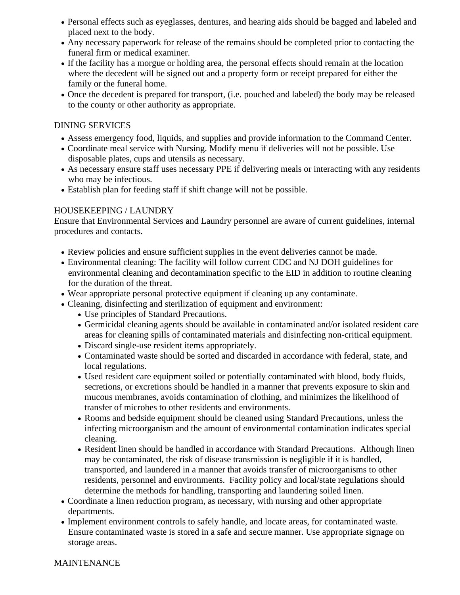- Personal effects such as eyeglasses, dentures, and hearing aids should be bagged and labeled and placed next to the body.
- Any necessary paperwork for release of the remains should be completed prior to contacting the funeral firm or medical examiner.
- If the facility has a morgue or holding area, the personal effects should remain at the location where the decedent will be signed out and a property form or receipt prepared for either the family or the funeral home.
- Once the decedent is prepared for transport, (i.e. pouched and labeled) the body may be released to the county or other authority as appropriate.

## DINING SERVICES

- Assess emergency food, liquids, and supplies and provide information to the Command Center.
- Coordinate meal service with Nursing. Modify menu if deliveries will not be possible. Use disposable plates, cups and utensils as necessary.
- As necessary ensure staff uses necessary PPE if delivering meals or interacting with any residents who may be infectious.
- Establish plan for feeding staff if shift change will not be possible.

# HOUSEKEEPING / LAUNDRY

Ensure that Environmental Services and Laundry personnel are aware of current guidelines, internal procedures and contacts.

- Review policies and ensure sufficient supplies in the event deliveries cannot be made.
- Environmental cleaning: The facility will follow current CDC and NJ DOH guidelines for environmental cleaning and decontamination specific to the EID in addition to routine cleaning for the duration of the threat.
- Wear appropriate personal protective equipment if cleaning up any contaminate.
- Cleaning, disinfecting and sterilization of equipment and environment:
	- Use principles of Standard Precautions.
	- Germicidal cleaning agents should be available in contaminated and/or isolated resident care areas for cleaning spills of contaminated materials and disinfecting non-critical equipment.
	- Discard single-use resident items appropriately.
	- Contaminated waste should be sorted and discarded in accordance with federal, state, and local regulations.
	- Used resident care equipment soiled or potentially contaminated with blood, body fluids, secretions, or excretions should be handled in a manner that prevents exposure to skin and mucous membranes, avoids contamination of clothing, and minimizes the likelihood of transfer of microbes to other residents and environments.
	- Rooms and bedside equipment should be cleaned using Standard Precautions, unless the infecting microorganism and the amount of environmental contamination indicates special cleaning.
	- Resident linen should be handled in accordance with Standard Precautions. Although linen may be contaminated, the risk of disease transmission is negligible if it is handled, transported, and laundered in a manner that avoids transfer of microorganisms to other residents, personnel and environments. Facility policy and local/state regulations should determine the methods for handling, transporting and laundering soiled linen.
- Coordinate a linen reduction program, as necessary, with nursing and other appropriate departments.
- Implement environment controls to safely handle, and locate areas, for contaminated waste. Ensure contaminated waste is stored in a safe and secure manner. Use appropriate signage on storage areas.

### MAINTENANCE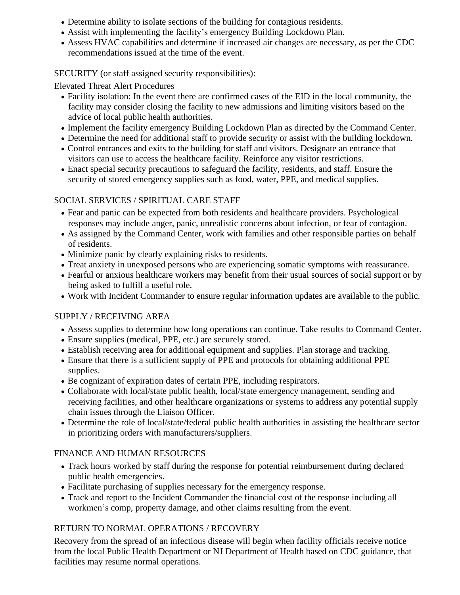- Determine ability to isolate sections of the building for contagious residents.
- Assist with implementing the facility's emergency Building Lockdown Plan.
- Assess HVAC capabilities and determine if increased air changes are necessary, as per the CDC recommendations issued at the time of the event.

## SECURITY (or staff assigned security responsibilities):

Elevated Threat Alert Procedures

- Facility isolation: In the event there are confirmed cases of the EID in the local community, the facility may consider closing the facility to new admissions and limiting visitors based on the advice of local public health authorities.
- Implement the facility emergency Building Lockdown Plan as directed by the Command Center.
- Determine the need for additional staff to provide security or assist with the building lockdown.
- Control entrances and exits to the building for staff and visitors. Designate an entrance that visitors can use to access the healthcare facility. Reinforce any visitor restrictions.
- Enact special security precautions to safeguard the facility, residents, and staff. Ensure the security of stored emergency supplies such as food, water, PPE, and medical supplies.

# SOCIAL SERVICES / SPIRITUAL CARE STAFF

- Fear and panic can be expected from both residents and healthcare providers. Psychological responses may include anger, panic, unrealistic concerns about infection, or fear of contagion.
- As assigned by the Command Center, work with families and other responsible parties on behalf of residents.
- Minimize panic by clearly explaining risks to residents.
- Treat anxiety in unexposed persons who are experiencing somatic symptoms with reassurance.
- Fearful or anxious healthcare workers may benefit from their usual sources of social support or by being asked to fulfill a useful role.
- Work with Incident Commander to ensure regular information updates are available to the public.

# SUPPLY / RECEIVING AREA

- Assess supplies to determine how long operations can continue. Take results to Command Center.
- Ensure supplies (medical, PPE, etc.) are securely stored.
- Establish receiving area for additional equipment and supplies. Plan storage and tracking.
- Ensure that there is a sufficient supply of PPE and protocols for obtaining additional PPE supplies.
- Be cognizant of expiration dates of certain PPE, including respirators.
- Collaborate with local/state public health, local/state emergency management, sending and receiving facilities, and other healthcare organizations or systems to address any potential supply chain issues through the Liaison Officer.
- Determine the role of local/state/federal public health authorities in assisting the healthcare sector in prioritizing orders with manufacturers/suppliers.

# FINANCE AND HUMAN RESOURCES

- Track hours worked by staff during the response for potential reimbursement during declared public health emergencies.
- Facilitate purchasing of supplies necessary for the emergency response.
- Track and report to the Incident Commander the financial cost of the response including all workmen's comp, property damage, and other claims resulting from the event.

# RETURN TO NORMAL OPERATIONS / RECOVERY

Recovery from the spread of an infectious disease will begin when facility officials receive notice from the local Public Health Department or NJ Department of Health based on CDC guidance, that facilities may resume normal operations.